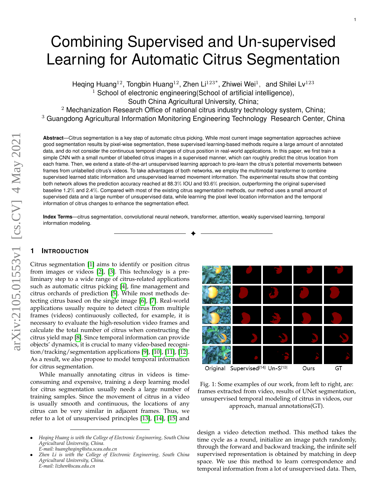# Combining Supervised and Un-supervised Learning for Automatic Citrus Segmentation

Heqing Huang<sup>12</sup>, Tongbin Huang<sup>12</sup>, Zhen Li<sup>123\*</sup>, Zhiwei Wei<sup>1</sup>, and Shilei Lv<sup>123</sup>  $1$  School of electronic engineering (School of artificial intelligence), South China Agricultural University, China;

 $2$  Mechanization Research Office of national citrus industry technology system, China;  $3$  Guangdong Agricultural Information Monitoring Engineering Technology Research Center, China

**Abstract**—Citrus segmentation is a key step of automatic citrus picking. While most current image segmentation approaches achieve good segmentation results by pixel-wise segmentation, these supervised learning-based methods require a large amount of annotated data, and do not consider the continuous temporal changes of citrus position in real-world applications. In this paper, we first train a simple CNN with a small number of labelled citrus images in a supervised manner, which can roughly predict the citrus location from each frame. Then, we extend a state-of-the-art unsupervised learning approach to pre-learn the citrus's potential movements between frames from unlabelled citrus's videos. To take advantages of both networks, we employ the multimodal transformer to combine supervised learned static information and unsupervised learned movement information. The experimental results show that combing both network allows the prediction accuracy reached at 88.3% IOU and 93.6% precision, outperforming the original supervised baseline 1.2% and 2.4%. Compared with most of the existing citrus segmentation methods, our method uses a small amount of supervised data and a large number of unsupervised data, while learning the pixel level location information and the temporal information of citrus changes to enhance the segmentation effect.

**Index Terms**—citrus segmentation, convolutional neural network, transformer, attention, weakly supervised learning, temporal information modeling.

✦

# **1 INTRODUCTION**

Citrus segmentation [\[1\]](#page-5-0) aims to identify or position citrus from images or videos [\[2\]](#page-5-1), [\[3\]](#page-5-2). This technology is a preliminary step to a wide range of citrus-related applications such as automatic citrus picking [\[4\]](#page-5-3), fine management and citrus orchards of prediction [\[5\]](#page-5-4). While most methods detecting citrus based on the single image [\[6\]](#page-5-5), [\[7\]](#page-5-6). Real-world applications usually require to detect citrus from multiple frames (videos) continuously collected, for example, it is necessary to evaluate the high-resolution video frames and calculate the total number of citrus when constructing the citrus yield map [\[8\]](#page-5-7). Since temporal information can provide objects' dynamics, it is crucial to many video-based recognition/tracking/segmentation applications [\[9\]](#page-5-8), [\[10\]](#page-5-9), [\[11\]](#page-5-10), [\[12\]](#page-5-11). As a result, we also propose to model temporal information for citrus segmentation.

While manually annotating citrus in videos is timeconsuming and expensive, training a deep learning model for citrus segmentation usually needs a large number of training samples. Since the movement of citrus in a video is usually smooth and continuous, the locations of any citrus can be very similar in adjacent frames. Thus, we refer to a lot of unsupervised principles [\[13\]](#page-5-12), [\[14\]](#page-5-13), [\[15\]](#page-5-14) and

Original Supervised<sup>[14]</sup> Un-S<sup>[10]</sup> Ours GT

Fig. 1: Some examples of our work, from left to right, are: frames extracted from video, results of UNet segmentation, unsupervised temporal modeling of citrus in videos, our approach, manual annotations(GT).

design a video detection method. This method takes the time cycle as a round, initialize an image patch randomly, through the forward and backward tracking, the infinite self supervised representation is obtained by matching in deep space. We use this method to learn correspondence and temporal information from a lot of unsupervised data. Then,

<sup>•</sup> *Heqing Huang is with the College of Electronic Engineering, South China Agricultural University, China. E-mail: huangheqing@stu.scau.edu.cn*

<sup>•</sup> *Zhen Li is with the College of Electronic Engineering, South China Agricultural University, China. E-mail: lizhen@scau.edu.cn*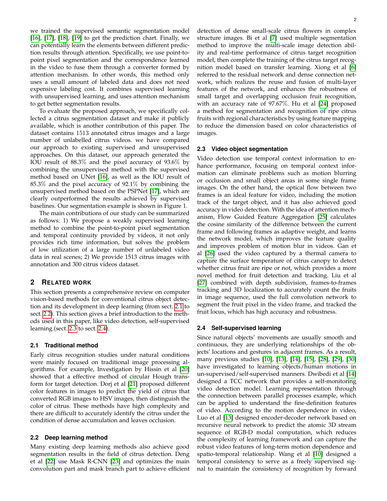we trained the supervised semantic segmentation model [\[16\]](#page-5-15), [\[17\]](#page-5-16), [\[18\]](#page-5-17), [\[19\]](#page-5-18) to get the prediction chart. Finally, we can potentially learn the elements between different prediction results through attention. Specifically, we use point-topoint pixel segmentation and the correspondence learned in the video to fuse them through a converter formed by attention mechanism. In other words, this method only uses a small amount of labeled data and does not need expensive labeling cost. It combines supervised learning with unsupervised learning, and uses attention mechanism to get better segmentation results.

To evaluate the proposed approach, we specifically collected a citrus segmentation dataset and make it publicly available, which is another contribution of this paper. The dataset contains 1513 annotated citrus images and a large number of unlabelled citrus videos. we have compared our approach to existing supervised and unsupervised approaches. On this dataset, our approach generated the IOU result of 88.3% and the pixel accuracy of 93.6% by combining the unsupervised method with the supervised method based on UNet [\[16\]](#page-5-15), as well as the IOU result of 85.3% and the pixel accuracy of 92.1% by combining the unsupervised method based on the PSPNet [\[17\]](#page-5-16), which are clearly outperformed the results achieved by supervised baselines. Our segmentation example is shown in Figure 1.

The main contributions of our study can be summarized as follows: 1) We propose a weakly supervised learning method to combine the point-to-point pixel segmentation and temporal continuity provided by videos, it not only provides rich time information, but solves the problem of low utilization of a large number of unlabeled video data in real scenes; 2) We provide 1513 citrus images with annotation and 300 citrus videos dataset.

# **2 RELATED WORK**

This section presents a comprehensive review on computer vision-based methods for conventional citrus object detection and its development in deep learning (from sect. [2.1](#page-1-0) to sect. [2.2\)](#page-1-1). This section gives a brief introduction to the methods used in this paper, like video detection, self-supervised learning.(sect. [2.3](#page-1-2) to sect. [2.4\)](#page-1-3).

## <span id="page-1-0"></span>**2.1 Traditional method**

Early citrus recognition studies under natural conditions were mainly focused on traditional image processing algorithms. For example, Investigation by Hissin et al [\[20\]](#page-5-19) showed that a effective method of circular Hough transform for target detection. Dorj et al [\[21\]](#page-6-0) proposed different color features in images to predict the yield of citrus that converted RGB images to HSV images, then distinguish the color of citrus. These methods have high complexity and there are difficult to accurately identify the citrus under the condition of dense accumulation and leaves occlusion.

#### <span id="page-1-1"></span>**2.2 Deep learning method**

Many existing deep learning methods also achieve good segmentation results in the field of citrus detection. Deng et al [\[22\]](#page-6-1) use Mask R-CNN [\[23\]](#page-6-2) and optimizes the main convolution part and mask branch part to achieve efficient detection of dense small-scale citrus flowers in complex structure images. Bi et al [\[7\]](#page-5-6) used multiple segmentation method to improve the multi-scale image detection ability and real-time performance of citrus target recognition model, then complete the training of the citrus target recognition model based on transfer learning. Xiong et al [\[6\]](#page-5-5) referred to the residual network and dense connection network, which realizes the reuse and fusion of multi-layer features of the network, and enhances the robustness of small target and overlapping occlusion fruit recognition, with an accuracy rate of 97.67%. Hu et al [\[24\]](#page-6-3) proposed a method for segmentation and recognition of ripe citrus fruits with regional characteristics by using feature mapping to reduce the dimension based on color characteristics of images.

#### <span id="page-1-2"></span>**2.3 Video object segmentation**

Video detection use temporal context information to enhance performance, focusing on temporal context information can eliminate problems such as motion blurring or occlusion and small object areas in some single frame images. On the other hand, the optical flow between two frames is an ideal feature for video, including the motion track of the target object, and it has also achieved good accuracy in video detection. With the idea of attention mechanism, Flow Guided Feature Aggregation [\[25\]](#page-6-4) calculates the cosine similarity of the difference between the current frame and following frames as adaptive weight, and learns the network model, which improves the feature quality and improves problem of motion blur in videos. Gan et al [\[26\]](#page-6-5) used the video captured by a thermal camera to capture the surface temperature of citrus canopy to detect whether citrus fruit are ripe or not, which provides a more novel method for fruit detection and tracking. Liu et al [\[27\]](#page-6-6) combined with depth subdivision, frames-to-frames tracking and 3D localization to accurately count the fruits in image sequence, used the full convolution network to segment the fruit pixel in the video frame, and tracked the fruit locus, which has high accuracy and robustness.

#### <span id="page-1-3"></span>**2.4 Self-supervised learning**

Since natural objects' movements are usually smooth and continuous, they are underlying relationships of the objects' locations and gestures in adjacent frames. As a result, many previous studies [\[10\]](#page-5-9), [\[13\]](#page-5-12), [\[14\]](#page-5-13), [\[15\]](#page-5-14), [\[28\]](#page-6-7), [\[29\]](#page-6-8), [\[30\]](#page-6-9) have investigated to learning objects/human motions in un-supervised/self-supervised manners. Dwibedi et al [\[14\]](#page-5-13) designed a TCC network that provides a self-monitoring video detection model. Learning representation through the connection between parallel processes example, which can be applied to understand the fine-definition features of video. According to the motion dependence in video, Luo et al [\[13\]](#page-5-12) designed encoder-decoder network based on recursive neural network to predict the atomic 3D stream sequence of RGB-D modal computation, which reduces the complexity of learning framework and can capture the robust video features of long-term motion dependence and spatio-temporal relationship. Wang et al [\[10\]](#page-5-9) designed a temporal consistency to serve as a freely supervised signal to maintain the consistency of recognition by forward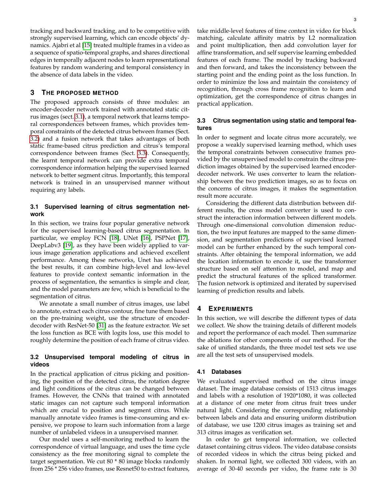tracking and backward tracking, and to be competitive with strongly supervised learning, which can encode objects' dynamics. Ajabri et al [\[15\]](#page-5-14) treated multiple frames in a video as a sequence of spatio-temporal graphs, and shares directional edges in temporally adjacent nodes to learn representational features by random wandering and temporal consistency in the absence of data labels in the video.

# **3 THE PROPOSED METHOD**

The proposed approach consists of three modules: an encoder-decoder network trained with annotated static citrus images (sect. [3.1\)](#page-2-0), a temporal network that learns temporal correspondences between frames, which provides temporal constraints of the detected citrus between frames (Sect. [3.2\)](#page-2-1) and a fusion network that takes advantages of both static frame-based citrus prediction and citrus's temporal correspondence between frames (Sect. [3.3\)](#page-2-2). Consequently, the learnt temporal network can provide extra temporal correspondence information helping the supervised learned network to better segment citrus. Importantly, this temporal network is trained in an unsupervised manner without requiring any labels.

# <span id="page-2-0"></span>**3.1 Supervised learning of citrus segmentation network**

In this section, we trains four popular generative network for the supervised learning-based citrus segmentation. In particular, we employ FCN [\[18\]](#page-5-17), UNet [\[16\]](#page-5-15), PSPNet [\[17\]](#page-5-16), DeepLabv3 [\[19\]](#page-5-18), as they have been widely applied to various image generation applications and achieved excellent performance. Among these networks, Unet has achieved the best results, it can combine high-level and low-level features to provide context semantic information in the process of segmentation, the semantics is simple and clear, and the model parameters are few, which is beneficial to the segmentation of citrus.

We annotate a small number of citrus images, use label to annotate, extract each citrus contour, fine tune them based on the pre-training weight, use the structure of encoderdecoder with ResNet-50 [\[31\]](#page-6-10) as the feature extractor. We set the loss function as BCE with logits loss, use this model to roughly determine the position of each frame of citrus video.

# <span id="page-2-1"></span>**3.2 Unsupervised temporal modeling of citrus in videos**

In the practical application of citrus picking and positioning, the position of the detected citrus, the rotation degree and light conditions of the citrus can be changed between frames. However, the CNNs that trained with annotated static images can not capture such temporal information which are crucial to position and segment citrus. While manually annotate video frames is time-consuming and expensive, we propose to learn such information from a large number of unlabeled videos in a unsupervised manner.

Our model uses a self-monitoring method to learn the correspondence of virtual language, and uses the time cycle consistency as the free monitoring signal to complete the target segmentation. We cut 80 \* 80 image blocks randomly from 256 \* 256 video frames, use Resnet50 to extract features,

take middle-level features of time context in video for block matching, calculate affinity matrix by L2 normalization and point multiplication, then add convolution layer for affine transformation, and self supervise learning embedded features of each frame. The model by tracking backward and then forward, and takes the inconsistency between the starting point and the ending point as the loss function. In order to minimize the loss and maintain the consistency of recognition, through cross frame recognition to learn and optimization, get the correspondence of citrus changes in practical application.

## <span id="page-2-2"></span>**3.3 Citrus segmentation using static and temporal features**

In order to segment and locate citrus more accurately, we propose a weakly supervised learning method, which uses the temporal constraints between consecutive frames provided by the unsupervised model to constrain the citrus prediction images obtained by the supervised learned encoderdecoder network. We uses converter to learn the relationship between the two prediction images, so as to focus on the concerns of citrus images, it makes the segmentation result more accurate.

Considering the different data distribution between different results, the cross model converter is used to construct the interaction information between different models. Through one-dimensional convolution dimension reduction, the two input features are mapped to the same dimension, and segmentation predictions of supervised learned model can be further enhanced by the such temporal constraints. After obtaining the temporal information, we add the location information to encode it, use the transformer structure based on self attention to model, and map and predict the structural features of the spliced transformer. The fusion network is optimized and iterated by supervised learning of prediction results and labels.

# **4 EXPERIMENTS**

In this section, we will describe the different types of data we collect. We show the training details of different models and report the performance of each model. Then summarize the ablations for other components of our method. For the sake of unified standards, the three model test sets we use are all the test sets of unsupervised models.

#### **4.1 Databases**

We evaluated supervised method on the citrus image dataset. The image database consists of 1513 citrus images and labels with a resolution of 1920\*1080, it was collected at a distance of one meter from citrus fruit trees under natural light. Considering the corresponding relationship between labels and data and ensuring uniform distribution of database, we use 1200 citrus images as training set and 313 citrus images as verification set.

In order to get temporal information, we collected dataset containing citrus videos. The video database consists of recorded videos in which the citrus being picked and shaken. In normal light, we collected 300 videos, with an average of 30-40 seconds per video, the frame rate is 30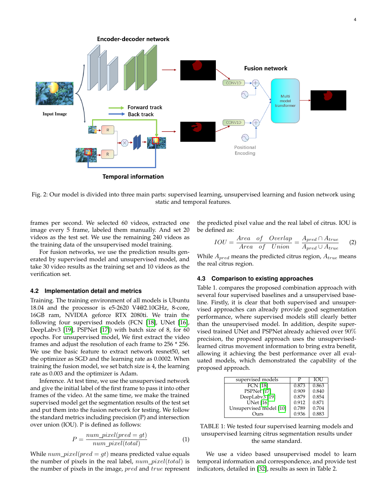

Fig. 2: Our model is divided into three main parts: supervised learning, unsupervised learning and fusion network using static and temporal features.

frames per second. We selected 60 videos, extracted one image every 5 frame, labeled them manually. And set 20 videos as the test set. We use the remaining 240 videos as the training data of the unsupervised model training.

For fusion networks, we use the prediction results generated by supervised model and unsupervised model, and take 30 video results as the training set and 10 videos as the verification set.

# **4.2 Implementation detail and metrics**

Training. The training environment of all models is Ubuntu 18.04 and the processor is e5-2620 V4@2.10GHz, 8-core, 16GB ram, NVIDIA geforce RTX 2080ti. We train the following four supervised models (FCN [\[18\]](#page-5-17), UNet [\[16\]](#page-5-15), DeepLabv3 [\[19\]](#page-5-18), PSPNet [\[17\]](#page-5-16)) with batch size of 8, for 60 epochs. For unsupervised model, We first extract the video frames and adjust the resolution of each frame to 256 \* 256. We use the basic feature to extract network resnet50, set the optimizer as SGD and the learning rate as 0.0002. When training the fusion model, we set batch size is 4, the learning rate as 0.003 and the optimizer is Adam.

Inference. At test time, we use the unsupervised network and give the initial label of the first frame to pass it into other frames of the video. At the same time, we make the trained supervised model get the segmentation results of the test set and put them into the fusion network for testing. We follow the standard metrics including precision (P) and intersection over union (IOU). P is defined as follows:

$$
P = \frac{num\_pixel(pred = gt)}{num\_pixel(total)} \tag{1}
$$

While  $num\_pixel(pred = gt)$  means predicted value equals the number of pixels in the real label,  $num\_pixel(total)$  is the number of pixels in the image, *pred* and *true* represent

the predicted pixel value and the real label of citrus. IOU is be defined as:

$$
IOU = \frac{Area \quad of \quad Overlap}{Area \quad of \quad Union} = \frac{A_{pred} \cap A_{true}}{A_{pred} \cup A_{true}} \tag{2}
$$

While  $A_{pred}$  means the predicted citrus region,  $A_{true}$  means the real citrus region.

#### **4.3 Comparison to existing approaches**

Table 1. compares the proposed combination approach with several four supervised baselines and a unsupervised baseline. Firstly, it is clear that both supervised and unsupervised approaches can already provide good segmentation performance, where supervised models still clearly better than the unsupervised model. In addition, despite supervised trained UNet and PSPNet already achieved over 90% precision, the proposed approach uses the unsupervisedlearned citrus movement information to bring extra benefit, allowing it achieving the best performance over all evaluated models, which demonstrated the capability of the proposed approach.

| supervised models       | р     | <b>IOU</b> |
|-------------------------|-------|------------|
| <b>FCN [18]</b>         | 0.873 | 0.863      |
| PSPNet [17]             | 0.909 | 0.840      |
| DeepLabv3 [19]          | 0.879 | 0.854      |
| <b>UNet [16]</b>        | 0.912 | 0.871      |
| Unsupervised model [10] | 0.789 | 0.704      |
| Ours                    | 0.936 | 0.883      |

TABLE 1: We tested four supervised learning models and unsupervised learning citrus segmentation results under the same standard.

We use a video based unsupervised model to learn temporal information and correspondence, and provide test indicators, detailed in [\[32\]](#page-6-11), results as seen in Table 2.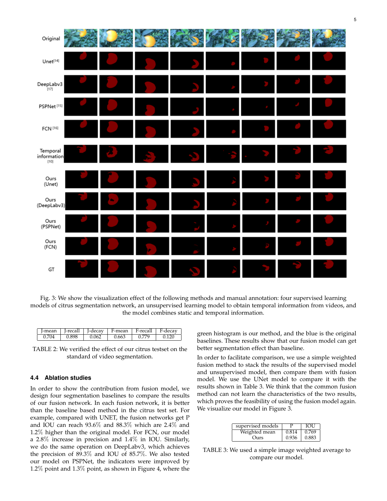

Fig. 3: We show the visualization effect of the following methods and manual annotation: four supervised learning models of citrus segmentation network, an unsupervised learning model to obtain temporal information from videos, and the model combines static and temporal information.

| I-mean | l-recall | I-decay | F-mean | F-recall | F-decav |
|--------|----------|---------|--------|----------|---------|
| 0.704  | 0.898    | በ በ62   | 0.663  | 0.779    |         |

TABLE 2: We verified the effect of our citrus testset on the standard of video segmentation.

## **4.4 Ablation studies**

In order to show the contribution from fusion model, we design four segmentation baselines to compare the results of our fusion network. In each fusion network, it is better than the baseline based method in the citrus test set. For example, compared with UNET, the fusion networks get P and IOU can reach 93.6% and 88.3% which are 2.4% and 1.2% higher than the original model. For FCN, our model a 2.8% increase in precision and 1.4% in IOU. Similarly, we do the same operation on DeepLabv3, which achieves the precision of 89.3% and IOU of 85.7%. We also tested our model on PSPNet, the indicators were improved by 1.2% point and 1.3% point, as shown in Figure 4, where the

green histogram is our method, and the blue is the original baselines. These results show that our fusion model can get better segmentation effect than baseline.

In order to facilitate comparison, we use a simple weighted fusion method to stack the results of the supervised model and unsupervised model, then compare them with fusion model. We use the UNet model to compare it with the results shown in Table 3. We think that the common fusion method can not learn the characteristics of the two results, which proves the feasibility of using the fusion model again. We visualize our model in Figure 3.

| supervised models | D     | <b>IOU</b> |
|-------------------|-------|------------|
| Weighted mean     | 0.814 | 0.769      |
| Ours <sup></sup>  | 0.936 | 0.883      |

TABLE 3: We used a simple image weighted average to compare our model.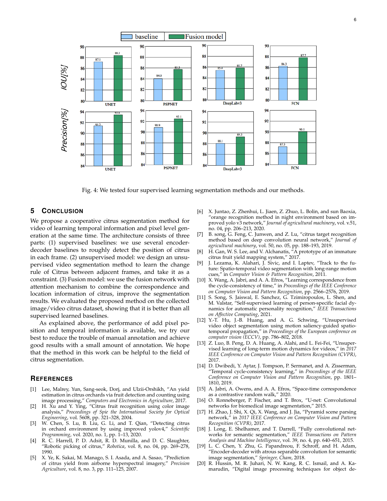

Fig. 4: We tested four supervised learning segmentation methods and our methods.

## **5 CONCLUSION**

We propose a cooperative citrus segmentation method for video of learning temporal information and pixel level generation at the same time. The architecture consists of three parts: (1) supervised baselines: we use several encoderdecoder baselines to roughly detect the position of citrus in each frame. (2) unsupervised model: we design an unsupervised video segmentation method to learn the change rule of Citrus between adjacent frames, and take it as a constraint. (3) Fusion model: we use the fusion network with attention mechanism to combine the correspondence and location information of citrus, improve the segmentation results. We evaluated the proposed method on the collected image/video citrus dataset, showing that it is better than all supervised learned baselines.

As explained above, the performance of add pixel position and temporal information is available, we try our best to reduce the trouble of manual annotation and achieve good results with a small amount of annotation. We hope that the method in this work can be helpful to the field of citrus segmentation.

## **REFERENCES**

- <span id="page-5-0"></span>[1] Lee, Malrey, Yun, Sang-seok, Dorj, and Ulzii-Orshikh, "An yield estimation in citrus orchards via fruit detection and counting using image processing," *Computers and Electronics in Agriculture*, 2017.
- <span id="page-5-1"></span>[2] H. Xu and Y. Ying, "Citrus fruit recognition using color image analysis," *Proceedings of Spie the International Society for Optical Engineering*, vol. 5608, pp. 321–328, 2004.
- <span id="page-5-2"></span>[3] W. Chen, S. Lu, B. Liu, G. Li, and T. Qian, "Detecting citrus in orchard environment by using improved yolov4," *Scientific Programming*, vol. 2020, no. 1, pp. 1–13, 2020.
- <span id="page-5-3"></span>[4] R. C. Harrell, P. D. Adsit, R. D. Munilla, and D. C. Slaughter, "Robotic picking of citrus," *Robotica*, vol. 8, no. 04, pp. 269–278, 1990.
- <span id="page-5-4"></span>[5] X. Ye, K. Sakai, M. Manago, S. I. Asada, and A. Sasao, "Prediction of citrus yield from airborne hyperspectral imagery," *Precision Agriculture*, vol. 8, no. 3, pp. 111–125, 2007.
- <span id="page-5-5"></span>[6] X. Juntao, Z. Zhenhui, L. Jiaen, Z. Zhuo, L. Bolin, and sun Baoxia, "orange recognition method in night environment based on improved yolo v3 network," *Journal of agricultural machinery*, vol. v.51, no. 04, pp. 206–213, 2020.
- <span id="page-5-6"></span>[7] B. song, G. Feng, C. Junwen, and Z. Lu, "citrus target recognition method based on deep convolution neural network," *Journal of agricultural machinery*, vol. 50, no. 05, pp. 188–193, 2019.
- <span id="page-5-7"></span>[8] H. Gan, W. S. Lee, and V. Alchanatis, "A prototype of an immature citrus fruit yield mapping system," 2017.
- <span id="page-5-8"></span>[9] J. Lezama, K. Alahari, J. Sivic, and I. Laptev, "Track to the future: Spatio-temporal video segmentation with long-range motion cues," in *Computer Vision & Pattern Recognition*, 2011.
- <span id="page-5-9"></span>[10] X. Wang, A. Jabri, and A. A. Efros, "Learning correspondence from the cycle-consistency of time," in *Proceedings of the IEEE Conference on Computer Vision and Pattern Recognition*, pp. 2566–2576, 2019.
- <span id="page-5-10"></span>[11] S. Song, S. Jaiswal, E. Sanchez, G. Tzimiropoulos, L. Shen, and M. Valstar, "Self-supervised learning of person-specific facial dynamics for automatic personality recognition," *IEEE Transactions on Affective Computing*, 2021.
- <span id="page-5-11"></span>[12] Y.-T. Hu, J.-B. Huang, and A. G. Schwing, "Unsupervised video object segmentation using motion saliency-guided spatiotemporal propagation," in *Proceedings of the European conference on computer vision (ECCV)*, pp. 786–802, 2018.
- <span id="page-5-12"></span>[13] Z. Luo, B. Peng, D. A. Huang, A. Alahi, and L. Fei-Fei, "Unsupervised learning of long-term motion dynamics for videos," in *2017 IEEE Conference on Computer Vision and Pattern Recognition (CVPR)*, 2017.
- <span id="page-5-13"></span>[14] D. Dwibedi, Y. Aytar, J. Tompson, P. Sermanet, and A. Zisserman, "Temporal cycle-consistency learning," in *Proceedings of the IEEE Conference on Computer Vision and Pattern Recognition*, pp. 1801– 1810, 2019.
- <span id="page-5-14"></span>[15] A. Jabri, A. Owens, and A. A. Efros, "Space-time correspondence as a contrastive random walk," 2020.
- <span id="page-5-15"></span>[16] O. Ronneberger, P. Fischer, and T. Brox, "U-net: Convolutional networks for biomedical image segmentation," 2015.
- <span id="page-5-16"></span>[17] H. Zhao, J. Shi, X. Qi, X. Wang, and J. Jia, "Pyramid scene parsing network," in *2017 IEEE Conference on Computer Vision and Pattern Recognition (CVPR)*, 2017.
- <span id="page-5-17"></span>[18] J. Long, E. Shelhamer, and T. Darrell, "Fully convolutional networks for semantic segmentation," *IEEE Transactions on Pattern Analysis and Machine Intelligence*, vol. 39, no. 4, pp. 640–651, 2015.
- <span id="page-5-18"></span>[19] L. C. Chen, Y. Zhu, G. Papandreou, F. Schroff, and H. Adam, "Encoder-decoder with atrous separable convolution for semantic image segmentation," *Springer, Cham*, 2018.
- <span id="page-5-19"></span>[20] R. Hussin, M. R. Juhari, N. W. Kang, R. C. Ismail, and A. Kamarudin, "Digital image processing techniques for object de-